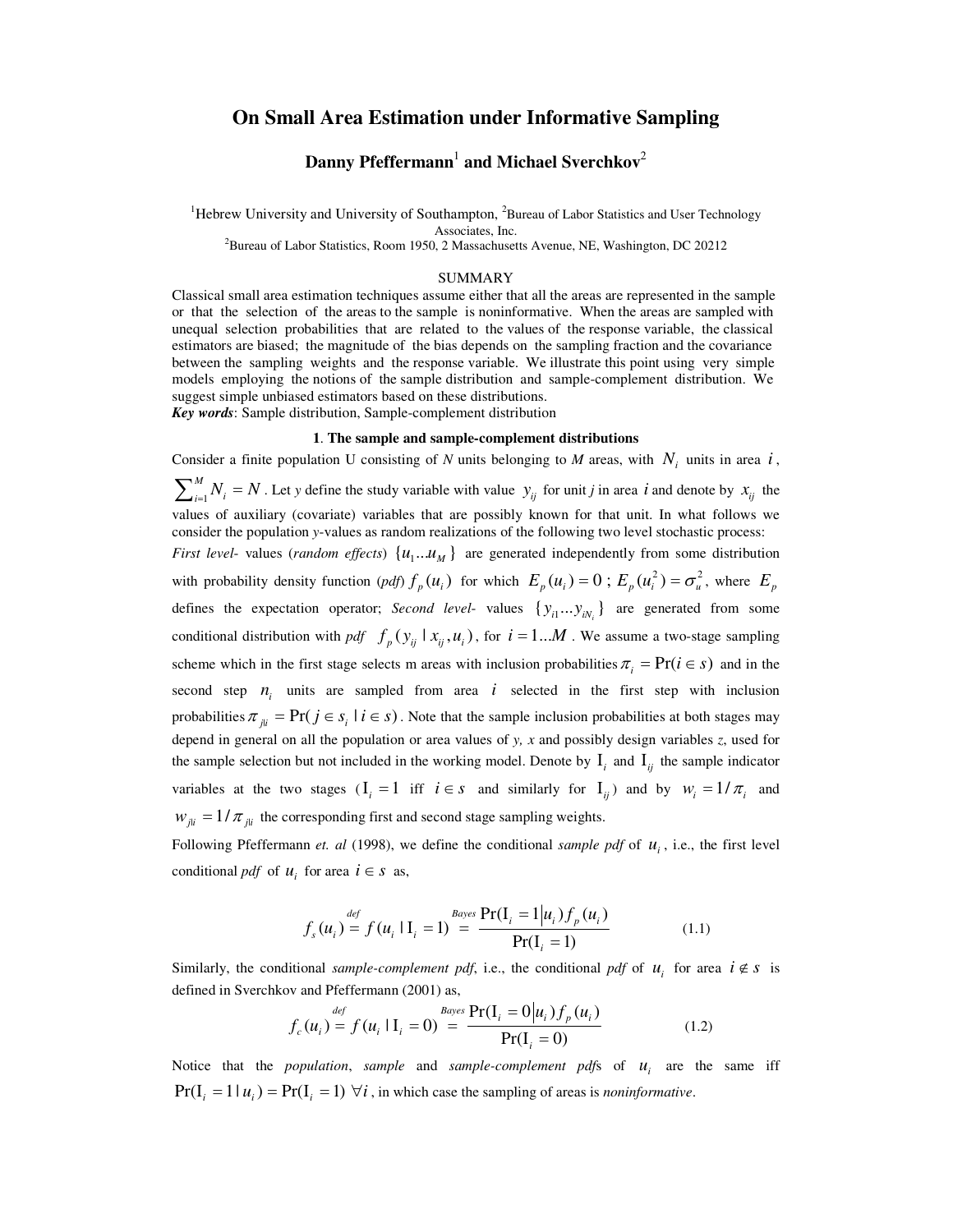# **On Small Area Estimation under Informative Sampling**

# **Danny Pfeffermann** 1 **and Michael Sverchkov** 2

<sup>1</sup>Hebrew University and University of Southampton, <sup>2</sup>Bureau of Labor Statistics and User Technology Associates, Inc.

<sup>2</sup>Bureau of Labor Statistics, Room 1950, 2 Massachusetts Avenue, NE, Washington, DC 20212

#### SUMMARY

Classical small area estimation techniques assume either that all the areas are represented in the sample or that the selection of the areas to the sample is noninformative. When the areas are sampled with unequal selection probabilities that are related to the values of the response variable, the classical estimators are biased; the magnitude of the bias depends on the sampling fraction and the covariance between the sampling weights and the response variable. We illustrate this point using very simple models employing the notions of the sample distribution and sample-complement distribution. We suggest simple unbiased estimators based on these distributions. *Key words*: Sample distribution, Sample-complement distribution

#### **1**. **The sample and sample-complement distributions**

Consider a finite population U consisting of *N* units belonging to *M* areas, with  $N_i$  units in area *i*, 1 *M*  $\sum_{i=1}^{M} N_i = N$ . Let *y* define the study variable with value  $y_{ij}$  for unit *j* in area *i* and denote by  $x_{ij}$  the values of auxiliary (covariate) variables that are possibly known for that unit. In what follows we consider the population *y*-values as random realizations of the following two level stochastic process: *First level-* values (*random effects*)  $\{u_1...u_M\}$  are generated independently from some distribution with probability density function  $(pdf) f_p(u_i)$  for which  $E_p(u_i) = 0$ ;  $E_p(u_i^2) = \sigma_u^2$ , where  $E_p$ defines the expectation operator; *Second level*- values  $\{y_{i1}...y_{iN_i}\}$  are generated from some conditional distribution with *pdf*  $f_p(y_{ij} | x_{ij}, u_i)$ , for  $i = 1...M$ . We assume a two-stage sampling scheme which in the first stage selects m areas with inclusion probabilities  $\pi_i = \Pr(i \in s)$  and in the second step  $n_i$  units are sampled from area *i* selected in the first step with inclusion probabilities  $\pi_{ji} = \Pr(j \in s_i | i \in s)$ . Note that the sample inclusion probabilities at both stages may depend in general on all the population or area values of *y, x* and possibly design variables *z*, used for the sample selection but not included in the working model. Denote by  $I_i$  and  $I_{ij}$  the sample indicator variables at the two stages  $(I_i = 1$  iff  $i \in s$  and similarly for  $I_{ij}$  and by  $w_i = 1/\pi$  and  $w_{jii} = 1/\pi_{jii}$  the corresponding first and second stage sampling weights.

Following Pfeffermann *et. al* (1998), we define the conditional *sample pdf* of  $u_i$ , i.e., the first level conditional *pdf* of  $u_i$  for area  $i \in s$  as,

$$
f_s(u_i) = f(u_i | I_i = 1) = \frac{Bayes \Pr(I_i = 1 | u_i) f_p(u_i)}{\Pr(I_i = 1)}
$$
(1.1)

Similarly, the conditional *sample-complement pdf*, i.e., the conditional *pdf* of  $u_i$  for area  $i \notin s$  is defined in Sverchkov and Pfeffermann (2001) as,

$$
f_c(u_i) = f(u_i | I_i = 0) = \frac{Bayes \Pr(I_i = 0 | u_i) f_p(u_i)}{\Pr(I_i = 0)}
$$
(1.2)

Notice that the *population*, *sample* and *sample-complement pdfs* of  $u_i$  are the same iff  $Pr(I_i = 1 | u_i) = Pr(I_i = 1) \; \forall i$ , in which case the sampling of areas is *noninformative*.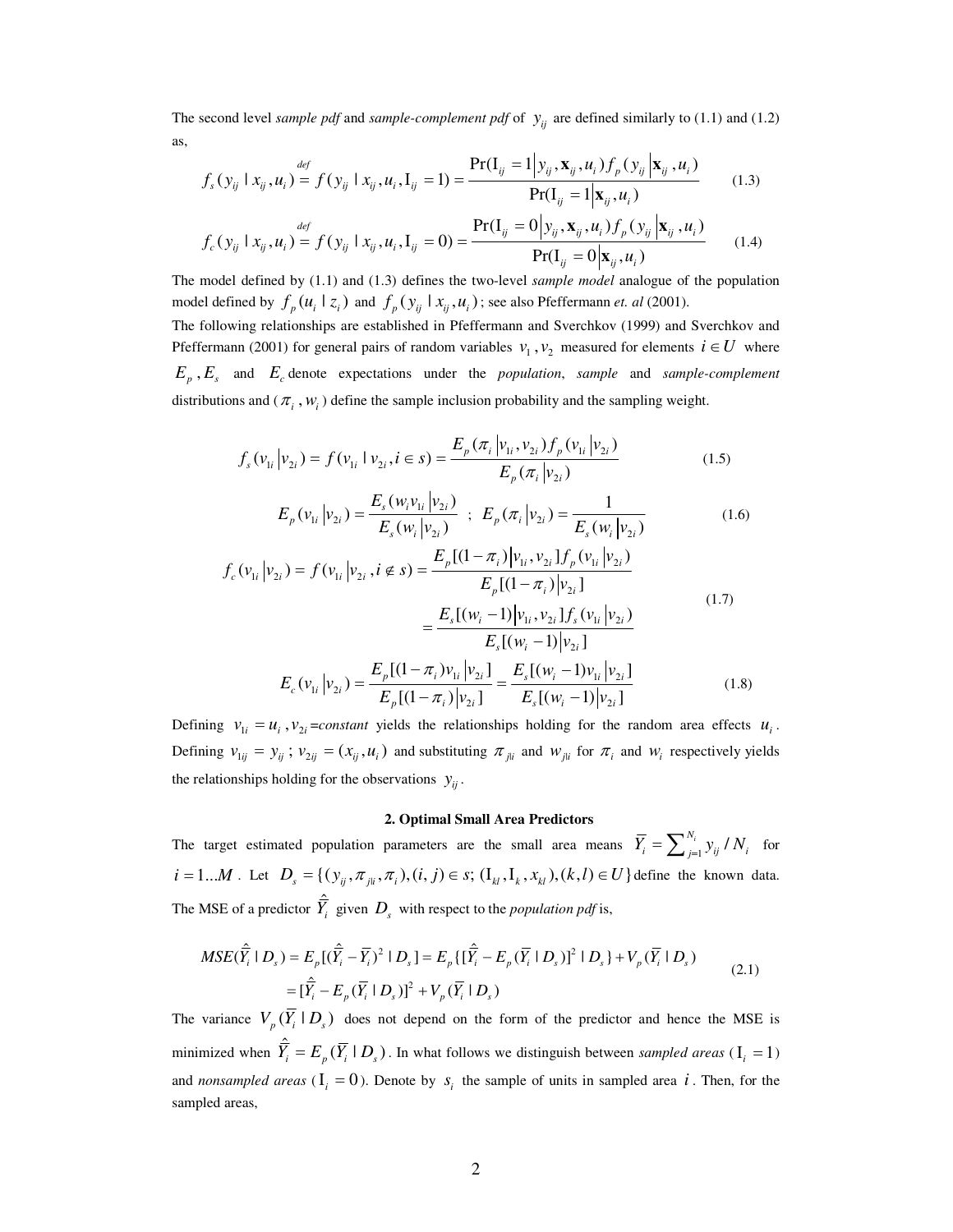The second level *sample pdf* and *sample-complement pdf* of  $y_{ij}$  are defined similarly to (1.1) and (1.2) as,

$$
f_s(y_{ij} \mid x_{ij}, u_i) = f(y_{ij} \mid x_{ij}, u_i, \mathbf{I}_{ij} = 1) = \frac{\Pr(\mathbf{I}_{ij} = 1 \mid y_{ij}, \mathbf{x}_{ij}, u_i) f_p(y_{ij} \mid \mathbf{x}_{ij}, u_i)}{\Pr(\mathbf{I}_{ij} = 1 \mid \mathbf{x}_{ij}, u_i)} \qquad (1.3)
$$
  

$$
f_c(y_{ij} \mid x_{ij}, u_i) = f(y_{ij} \mid x_{ij}, u_i, \mathbf{I}_{ij} = 0) = \frac{\Pr(\mathbf{I}_{ij} = 0 \mid y_{ij}, \mathbf{x}_{ij}, u_i) f_p(y_{ij} \mid \mathbf{x}_{ij}, u_i)}{\Pr(\mathbf{I}_{ij} = 0 \mid \mathbf{x}_{ij}, u_i)} \qquad (1.4)
$$

The model defined by (1.1) and (1.3) defines the two-level *sample model* analogue of the population model defined by  $f_p(u_i | z_i)$  and  $f_p(y_{ij} | x_{ij}, u_i)$ ; see also Pfeffermann *et. al* (2001). The following relationships are established in Pfeffermann and Sverchkov (1999) and Sverchkov and Pfeffermann (2001) for general pairs of random variables  $v_1$ ,  $v_2$  measured for elements  $i \in U$  where  $E_p$ ,  $E_s$  and  $E_c$  denote expectations under the *population*, *sample* and *sample-complement* distributions and  $(\pi_i, w_i)$  define the sample inclusion probability and the sampling weight.

$$
f_s(v_{1i} | v_{2i}) = f(v_{1i} | v_{2i}, i \in s) = \frac{E_p(\pi_i | v_{1i}, v_{2i}) f_p(v_{1i} | v_{2i})}{E_p(\pi_i | v_{2i})}
$$
(1.5)

$$
E_p(v_{1i} | v_{2i}) = \frac{E_s(w_i v_{1i} | v_{2i})}{E_s(w_i | v_{2i})} ; E_p(\pi_i | v_{2i}) = \frac{1}{E_s(w_i | v_{2i})}
$$
(1.6)

$$
f_c(v_{1i} | v_{2i}) = f(v_{1i} | v_{2i}, i \notin s) = \frac{E_p[(1 - \pi_i)|v_{1i}, v_{2i}]f_p(v_{1i} | v_{2i})}{E_p[(1 - \pi_i)|v_{2i}]}
$$
  

$$
= \frac{E_s[(w_i - 1)|v_{1i}, v_{2i}]f_s(v_{1i} | v_{2i})}{E_s[(w_i - 1)|v_{2i}]}
$$
  

$$
E_c(v_{1i} | v_{2i}) = \frac{E_p[(1 - \pi_i)v_{1i}|v_{2i}]}{E_p[(1 - \pi_i)|v_{2i}]} = \frac{E_s[(w_i - 1)v_{1i}|v_{2i}]}{E_s[(w_i - 1)|v_{2i}]}
$$
(1.8)

Defining  $v_{1i} = u_i$ ,  $v_{2i} = constant$  yields the relationships holding for the random area effects  $u_i$ . Defining  $v_{1ij} = y_{ij}$ ;  $v_{2ij} = (x_{ij}, u_i)$  and substituting  $\pi_{ji}$  and  $w_{ji}$  for  $\pi_i$  and  $w_i$  respectively yields the relationships holding for the observations  $y_{ij}$ .

## **2. Optimal Small Area Predictors**

The target estimated population parameters are the small area means  $\overline{Y}_i = \sum_{j=1}^{N_i} y_{ij}$  $\overline{Y}_i = \sum_{j=1}^{N_i} y_{ij} / N_i$  for  $i = 1...M$ . Let  $D_s = \{(y_{ij}, \pi_{ji}, \pi_i), (i, j) \in s; (\mathbf{I}_{kl}, \mathbf{I}_k, x_{kl}), (k, l) \in U\}$  define the known data. | The MSE of a predictor  $\hat{Y}_i$  given  $D_s$  with respect to the *population pdf* is,

$$
MSE(\hat{\overline{Y}}_i | D_s) = E_p[(\hat{\overline{Y}}_i - \overline{Y}_i)^2 | D_s] = E_p\{[\hat{\overline{Y}}_i - E_p(\overline{Y}_i | D_s)]^2 | D_s\} + V_p(\overline{Y}_i | D_s)
$$
  
=  $[\hat{\overline{Y}}_i - E_p(\overline{Y}_i | D_s)]^2 + V_p(\overline{Y}_i | D_s)$  (2.1)

The variance  $V_p(Y_i | D_s)$  does not depend on the form of the predictor and hence the MSE is minimized when  $\hat{\overline{Y}}_i = E_p(\overline{Y}_i \mid D_s)$ . In what follows we distinguish between *sampled areas* ( $I_i = 1$ ) and *nonsampled* areas  $(I_i = 0)$ . Denote by  $s_i$  the sample of units in sampled area i. Then, for the sampled areas,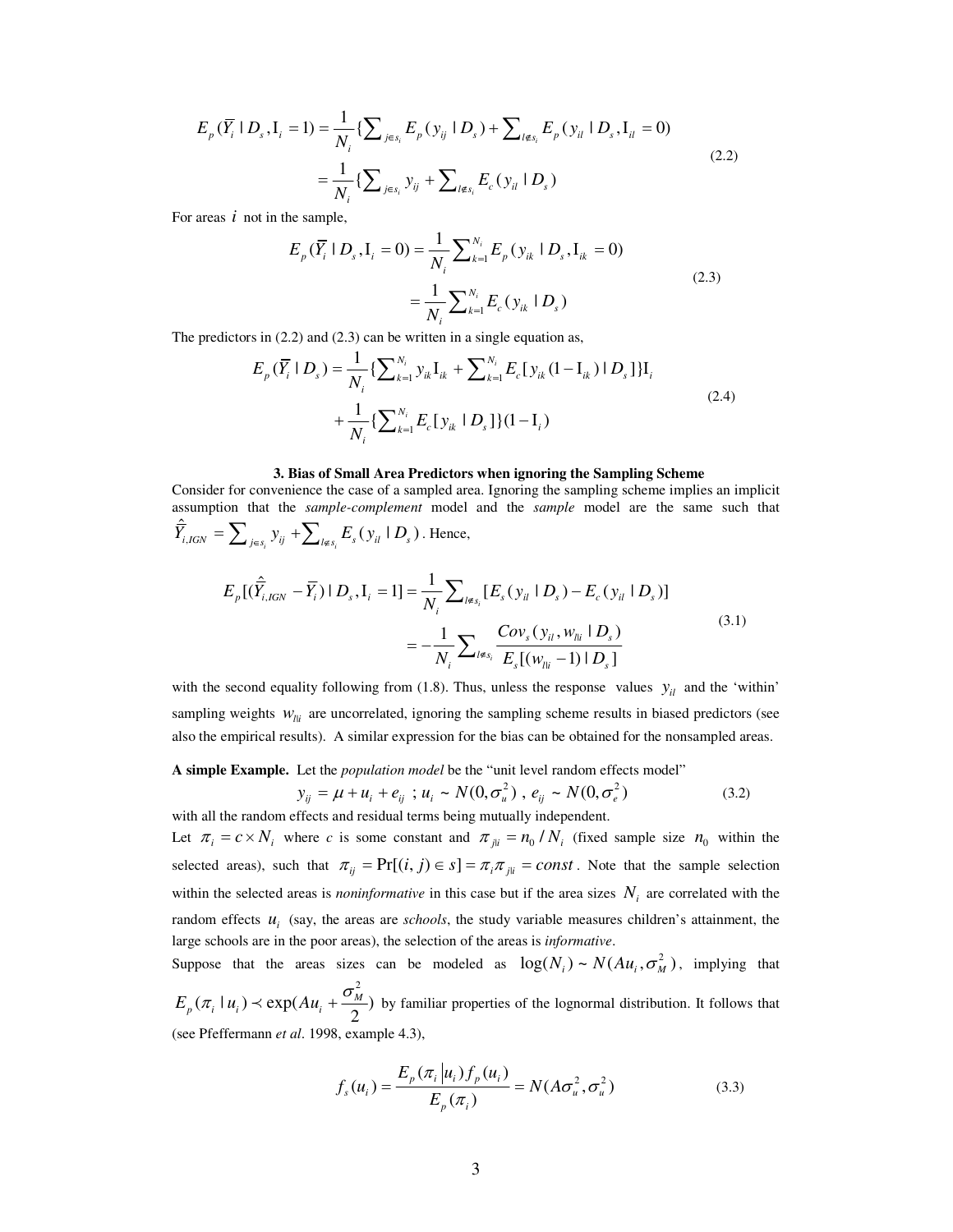$$
E_p(\overline{Y}_i \mid D_s, I_i = 1) = \frac{1}{N_i} \{ \sum_{j \in s_i} E_p(y_{ij} \mid D_s) + \sum_{l \notin s_i} E_p(y_{il} \mid D_s, I_{il} = 0) \}
$$
  

$$
= \frac{1}{N_i} \{ \sum_{j \in s_i} y_{ij} + \sum_{l \notin s_i} E_c(y_{il} \mid D_s) \}
$$
(2.2)

For areas *i* not in the sample,

$$
E_p(\overline{Y}_i \mid D_s, \mathbf{I}_i = 0) = \frac{1}{N_i} \sum_{k=1}^{N_i} E_p(y_{ik} \mid D_s, \mathbf{I}_{ik} = 0)
$$
  

$$
= \frac{1}{N_i} \sum_{k=1}^{N_i} E_c(y_{ik} \mid D_s)
$$
 (2.3)

The predictors in (2.2) and (2.3) can be written in a single equation as,

$$
E_p(\overline{Y}_i \mid D_s) = \frac{1}{N_i} \{ \sum_{k=1}^{N_i} y_{ik} \mathbf{I}_{ik} + \sum_{k=1}^{N_i} E_c [y_{ik} (1 - \mathbf{I}_{ik}) \mid D_s] \} \mathbf{I}_i
$$
  
+ 
$$
\frac{1}{N_i} \{ \sum_{k=1}^{N_i} E_c [y_{ik} \mid D_s] \} (1 - \mathbf{I}_i)
$$
 (2.4)

### **3. Bias of Small Area Predictors when ignoring the Sampling Scheme**

Consider for convenience the case of a sampled area. Ignoring the sampling scheme implies an implicit assumption that the *sample-complement* model and the *sample* model are the same such that  $\hat{\overline{Y}}_{i,IGN} = \sum_{j \in s_i} y_{ij} + \sum_{l \notin s_i} E_s(y_{il} | D_s)$ . Hence,

$$
E_p[(\hat{Y}_{i,IGN} - \bar{Y}_i) | D_s, I_i = 1] = \frac{1}{N_i} \sum_{l \notin s_i} [E_s(y_{il} | D_s) - E_c(y_{il} | D_s)]
$$
  

$$
= -\frac{1}{N_i} \sum_{l \notin s_i} \frac{Cov_s(y_{il}, w_{li} | D_s)}{E_s[(w_{li} - 1) | D_s]}
$$
(3.1)

with the second equality following from (1.8). Thus, unless the response values  $y_{il}$  and the 'within' sampling weights  $W_{ll}$  are uncorrelated, ignoring the sampling scheme results in biased predictors (see also the empirical results). A similar expression for the bias can be obtained for the nonsampled areas.

**A simple Example.** Let the *population model* be the "unit level random effects model"

$$
y_{ij} = \mu + u_i + e_{ij} \quad ; \quad u_i \sim N(0, \sigma_u^2), \quad e_{ij} \sim N(0, \sigma_e^2)
$$
\nwith all the random effects and residual terms being mutually independent. (3.2)

Let  $\pi_i = c \times N_i$  where *c* is some constant and  $\pi_{ji} = n_0/N_i$  (fixed sample size  $n_0$  within the selected areas), such that  $\pi_{ij} = Pr[(i, j) \in s] = \pi_i \pi_{ji} = const.$  Note that the sample selection within the selected areas is *noninformative* in this case but if the area sizes  $N_i$  are correlated with the random effects  $u_i$  (say, the areas are *schools*, the study variable measures children's attainment, the large schools are in the poor areas), the selection of the areas is *informative*.

Suppose that the areas sizes can be modeled as  $log(N_i) \sim N(Au_i, \sigma_M^2)$ , implying that 2  $(\pi_i | u_i) \prec \exp(Au_i + \frac{\sigma_M}{2})$  $E_p(\pi_i | u_i) \prec \exp(Au_i + \frac{\sigma_M^2}{2})$  by familiar properties of the lognormal distribution. It follows that (see Pfeffermann *et al*. 1998, example 4.3),

$$
f_s(u_i) = \frac{E_p(\pi_i | u_i) f_p(u_i)}{E_p(\pi_i)} = N(A\sigma_u^2, \sigma_u^2)
$$
 (3.3)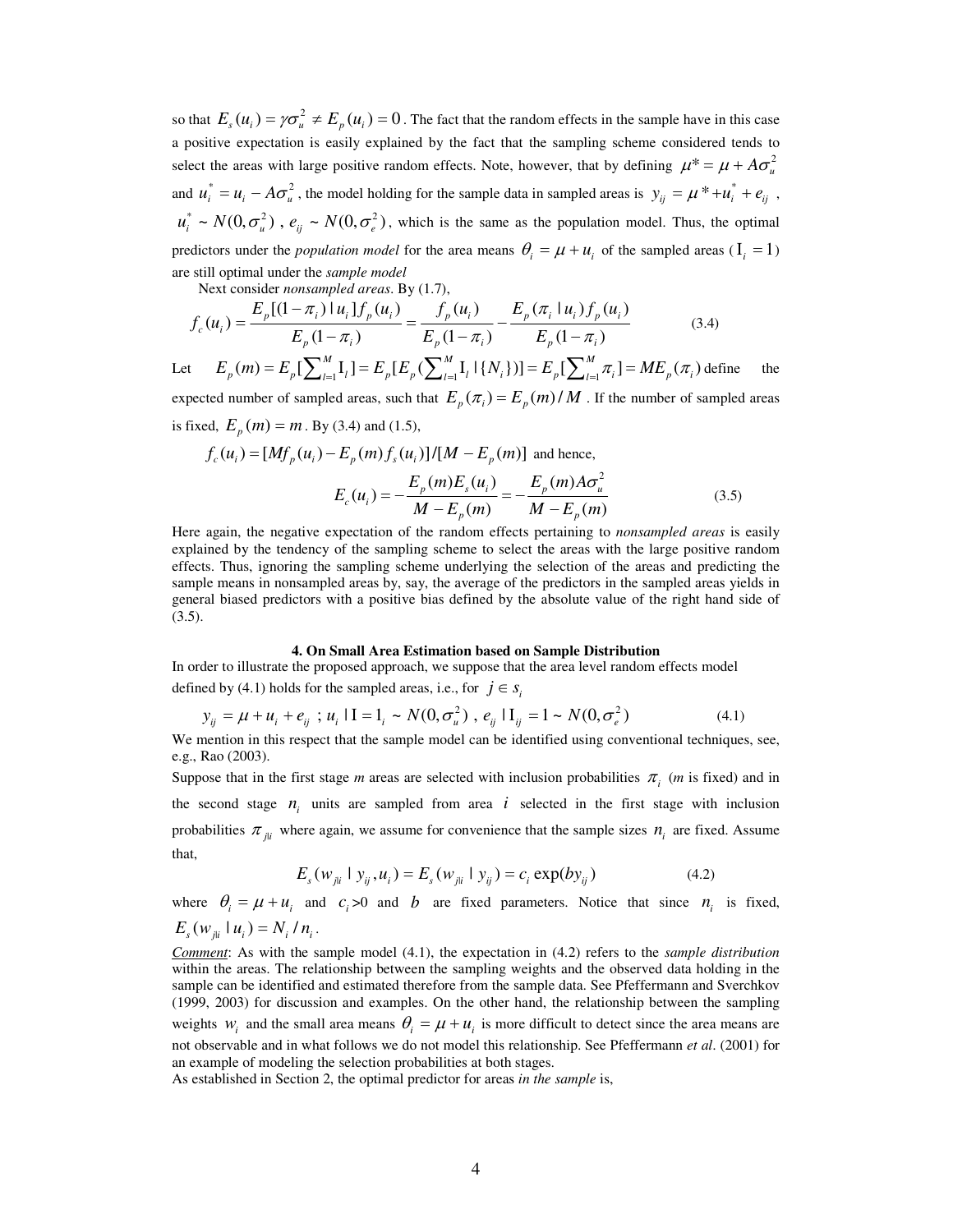so that  $E_s(u_i) = \gamma \sigma_u^2 \neq E_p(u_i) = 0$ . The fact that the random effects in the sample have in this case a positive expectation is easily explained by the fact that the sampling scheme considered tends to select the areas with large positive random effects. Note, however, that by defining  $\mu^* = \mu + A \sigma_u^2$ and  $u_i^* = u_i - A\sigma_u^2$ , the model holding for the sample data in sampled areas is  $y_{ij} = \mu^* + u_i^* + e_{ij}$ ,  $u_i^* \sim N(0, \sigma_u^2)$ ,  $e_{ij} \sim N(0, \sigma_e^2)$ , which is the same as the population model. Thus, the optimal predictors under the *population model* for the area means  $\theta_i = \mu + u_i$  of the sampled areas ( $I_i = 1$ ) are still optimal under the *sample model*

Next consider *nonsampled areas*. By (1.7),

$$
f_c(u_i) = \frac{E_p[(1-\pi_i) \mid u_i] f_p(u_i)}{E_p(1-\pi_i)} = \frac{f_p(u_i)}{E_p(1-\pi_i)} - \frac{E_p(\pi_i \mid u_i) f_p(u_i)}{E_p(1-\pi_i)}
$$
(3.4)

Let  $\mathcal{L}(m) = E_p \left[ \sum_{l=1}^{M} \mathbf{I}_l \right] = E_p \left[ E_p \left( \sum_{l=1}^{M} \mathbf{I}_l \mid \{N_i\} \right) \right] = E_p \left[ \sum_{l=1}^{M} \pi_i \right] = M E_p \left( \pi_i \right)$  $E_p(m) = E_p[\sum_{l=1}^{M} I_l] = E_p[E_p(\sum_{l=1}^{M} I_l | \{N_i\})] = E_p[\sum_{l=1}^{M} \pi_i] = ME_p(\pi_i)$  define the expected number of sampled areas, such that  $E_p(\pi_i) = E_p(m)/M$ . If the number of sampled areas is fixed,  $E_p(m) = m$ . By (3.4) and (1.5),

$$
f_c(u_i) = [Mf_p(u_i) - E_p(m)f_s(u_i)]/[M - E_p(m)] \text{ and hence,}
$$
  

$$
E_c(u_i) = -\frac{E_p(m)E_s(u_i)}{M - E_p(m)} = -\frac{E_p(m)A\sigma_u^2}{M - E_p(m)}
$$
(3.5)

Here again, the negative expectation of the random effects pertaining to *nonsampled areas* is easily explained by the tendency of the sampling scheme to select the areas with the large positive random effects. Thus, ignoring the sampling scheme underlying the selection of the areas and predicting the sample means in nonsampled areas by, say, the average of the predictors in the sampled areas yields in general biased predictors with a positive bias defined by the absolute value of the right hand side of (3.5).

### **4. On Small Area Estimation based on Sample Distribution**

In order to illustrate the proposed approach, we suppose that the area level random effects model defined by (4.1) holds for the sampled areas, i.e., for  $j \in s$ 

$$
y_{ij} = \mu + u_i + e_{ij} \; ; \; u_i \; | \; I = 1_i \sim N(0, \sigma_u^2) \; , \; e_{ij} \; | \; I_{ij} = 1 \sim N(0, \sigma_e^2) \tag{4.1}
$$

We mention in this respect that the sample model can be identified using conventional techniques, see, e.g., Rao (2003).

Suppose that in the first stage *m* areas are selected with inclusion probabilities  $\pi$ <sub>i</sub> (*m* is fixed) and in the second stage  $n_i$  units are sampled from area  $i$  selected in the first stage with inclusion probabilities  $\pi_{ji}$  where again, we assume for convenience that the sample sizes  $n_i$  are fixed. Assume that,

$$
E_s(w_{jii} \mid y_{ij}, u_i) = E_s(w_{jii} \mid y_{ij}) = c_i \exp(by_{ij})
$$
\n(4.2)

where  $\theta_i = \mu + u_i$  and  $c_i > 0$  and *b* are fixed parameters. Notice that since  $n_i$  is fixed, |  $E_s(w_{jli} | u_i) = N_i / n_i$ .

*Comment*: As with the sample model (4.1), the expectation in (4.2) refers to the *sample distribution* within the areas. The relationship between the sampling weights and the observed data holding in the sample can be identified and estimated therefore from the sample data. See Pfeffermann and Sverchkov (1999, 2003) for discussion and examples. On the other hand, the relationship between the sampling weights  $w_i$  and the small area means  $\theta_i = \mu + u_i$  is more difficult to detect since the area means are not observable and in what follows we do not model this relationship. See Pfeffermann *et al*. (2001) for an example of modeling the selection probabilities at both stages.

As established in Section 2, the optimal predictor for areas *in the sample* is,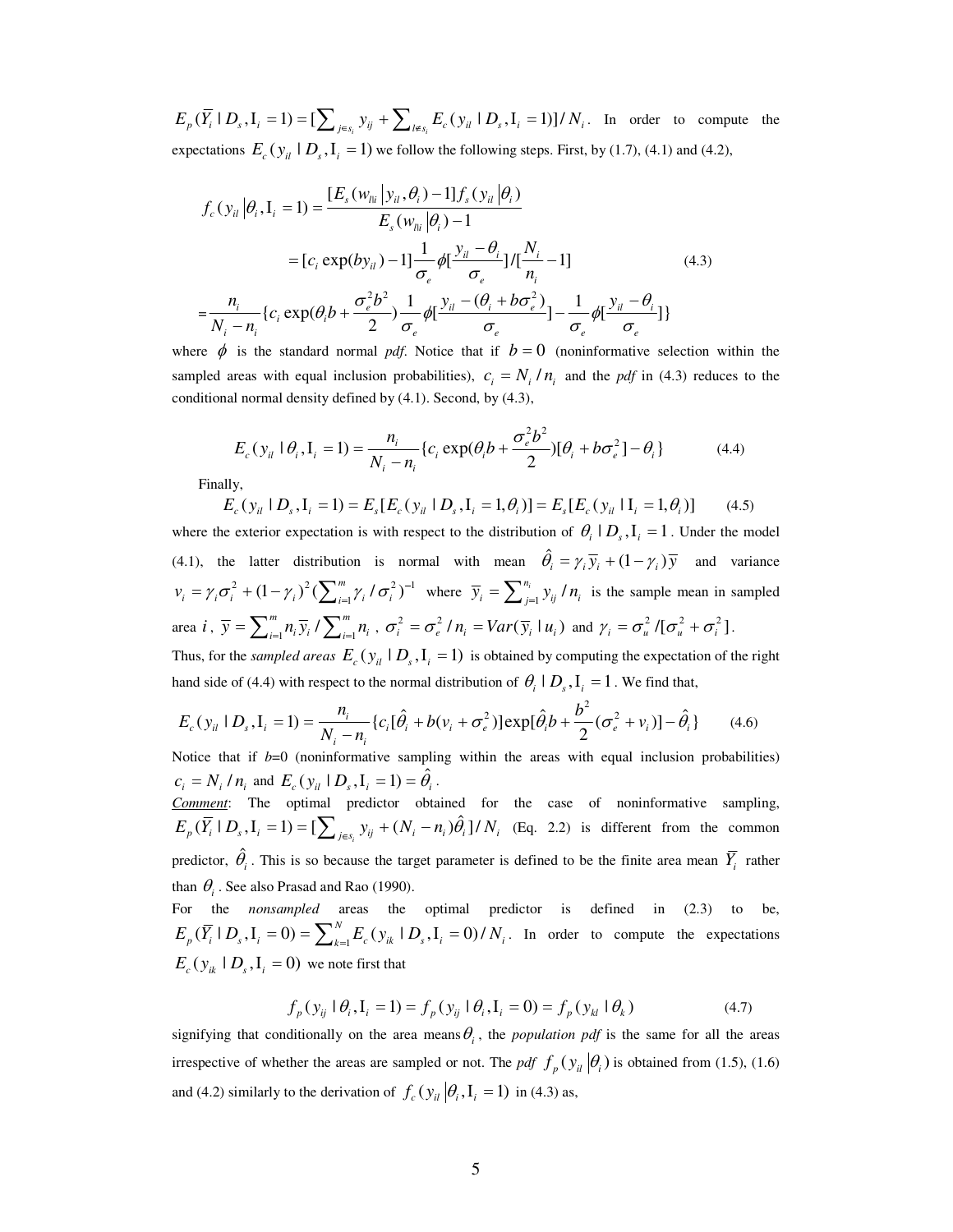$E_p(\overline{Y}_i \mid D_s, I_i = 1) = \left[\sum_{j \in s_i} y_{ij} + \sum_{l \notin s_i} E_c(y_{il} \mid D_s, I_i = 1)\right] / N_i$ . In order to compute the expectations  $E_c(y_{il} | D_s, I_i = 1)$  we follow the following steps. First, by (1.7), (4.1) and (4.2),

$$
f_c(y_{il}|\theta_i, I_i = 1) = \frac{[E_s(w_{li} | y_{il}, \theta_i) - 1]f_s(y_{il}|\theta_i)}{E_s(w_{li}|\theta_i) - 1}
$$
  
\n
$$
= [c_i \exp(by_{il}) - 1] \frac{1}{\sigma_e} \phi[\frac{y_{il} - \theta_i}{\sigma_e}] / [\frac{N_i}{n_i} - 1]
$$
  
\n
$$
= \frac{n_i}{N_i - n_i} \{c_i \exp(\theta_i b + \frac{\sigma_e^2 b^2}{2}) \frac{1}{\sigma_e} \phi[\frac{y_{il} - (\theta_i + b\sigma_e^2)}{\sigma_e}] - \frac{1}{\sigma_e} \phi[\frac{y_{il} - \theta_i}{\sigma_e}] \}
$$
\n(4.3)

where  $\phi$  is the standard normal *pdf*. Notice that if  $b = 0$  (noninformative selection within the sampled areas with equal inclusion probabilities),  $c_i = N_i / n_i$  and the *pdf* in (4.3) reduces to the conditional normal density defined by (4.1). Second, by (4.3),

$$
E_c(y_{il} | \theta_i, I_i = 1) = \frac{n_i}{N_i - n_i} \{c_i \exp(\theta_i b + \frac{\sigma_e^2 b^2}{2}) [\theta_i + b \sigma_e^2] - \theta_i \}
$$
(4.4)

Finally,

$$
E_c(y_{il} | D_s, I_i = 1) = E_s[E_c(y_{il} | D_s, I_i = 1, \theta_i)] = E_s[E_c(y_{il} | I_i = 1, \theta_i)]
$$
(4.5)

where the exterior expectation is with respect to the distribution of  $\theta_i | D_s, I_i = 1$ . Under the model (4.1), the latter distribution is normal with mean  $\hat{\theta}_i = \gamma_i \overline{y}_i + (1 - \gamma_i) \overline{y}$  and variance 2  $(1 - \mu)^2 (\sum m \mu l - 2)^{-1}$  $(1-\gamma_i)^2(\sum_{i=1}^m \gamma_i/\sigma_i^2)$  $v_i = \gamma_i \sigma_i^2 + (1 - \gamma_i)^2 (\sum_{i=1}^m \gamma_i / \sigma_i^2)^{-1}$  where  $\overline{y}_i = \sum_{j=1}^{n_i} y_{ij} / \sigma_i^2$  $\overline{y}_i = \sum_{j=1}^{n_i} y_{ij} / n_i$  is the sample mean in sampled area *i*,  $\overline{y} = \sum_{i=1}^{m} n_i \overline{y}_i / \sum_{i=1}^{m}$  $\overline{y} = \sum_{i=1}^{m} n_i \overline{y}_i / \sum_{i=1}^{m} n_i$ ,  $\sigma_i^2 = \sigma_e^2 / n_i = Var(\overline{y}_i | u_i)$  and  $\gamma_i = \sigma_u^2 / [\sigma_u^2 + \sigma_i^2]$ .

Thus, for the *sampled areas*  $E_c(y_{il} | D_s, I_i = 1)$  is obtained by computing the expectation of the right hand side of (4.4) with respect to the normal distribution of  $\theta_i | D_s, I_i = 1$ . We find that,

$$
E_c(y_{il} | D_s, I_i = 1) = \frac{n_i}{N_i - n_i} \{c_i [\hat{\theta}_i + b(v_i + \sigma_e^2)] \exp[\hat{\theta}_i b + \frac{b^2}{2} (\sigma_e^2 + v_i)] - \hat{\theta}_i \}
$$
(4.6)

Notice that if *b*=0 (noninformative sampling within the areas with equal inclusion probabilities)  $c_i = N_i / n_i$  and  $E_c(y_{ii} | D_s, I_i = 1) = \hat{\theta}_i$ .

*Comment*: The optimal predictor obtained for the case of noninformative sampling,  $E_p(\overline{Y}_i \mid D_s, I_i = 1) = \left[\sum_{j \in s_i} y_{ij} + (N_i - n_i)\hat{\theta}_i\right] / N_i$  (Eq. 2.2) is different from the common predictor,  $\hat{\theta}_i$ . This is so because the target parameter is defined to be the finite area mean  $\overline{Y}_i$  rather than  $\theta$ <sub>*i*</sub>. See also Prasad and Rao (1990).

For the *nonsampled* areas the optimal predictor is defined in (2.3) to be,  $(\overline{Y}_i \mid D_s, I_i = 0) = \sum_{k=1}^{N} E_c(y_{ik} \mid D_s, I_i = 0)$ /  $E_p(\overline{Y}_i \mid D_s, I_i = 0) = \sum_{k=1}^N E_c(y_{ik} \mid D_s, I_i = 0) / N_i$ . In order to compute the expectations  $E_c(y_{ik} | D_s, I_i = 0)$  we note first that

$$
f_p(y_{ij} \mid \theta_i, \mathbf{I}_i = 1) = f_p(y_{ij} \mid \theta_i, \mathbf{I}_i = 0) = f_p(y_{kl} \mid \theta_k)
$$
\n(4.7)

signifying that conditionally on the area means  $\theta_i$ , the *population pdf* is the same for all the areas irrespective of whether the areas are sampled or not. The *pdf*  $f_p(y_i|\theta_i)$  is obtained from (1.5), (1.6) and (4.2) similarly to the derivation of  $f_c(y_{ii} | \theta_i, I_i = 1)$  in (4.3) as,